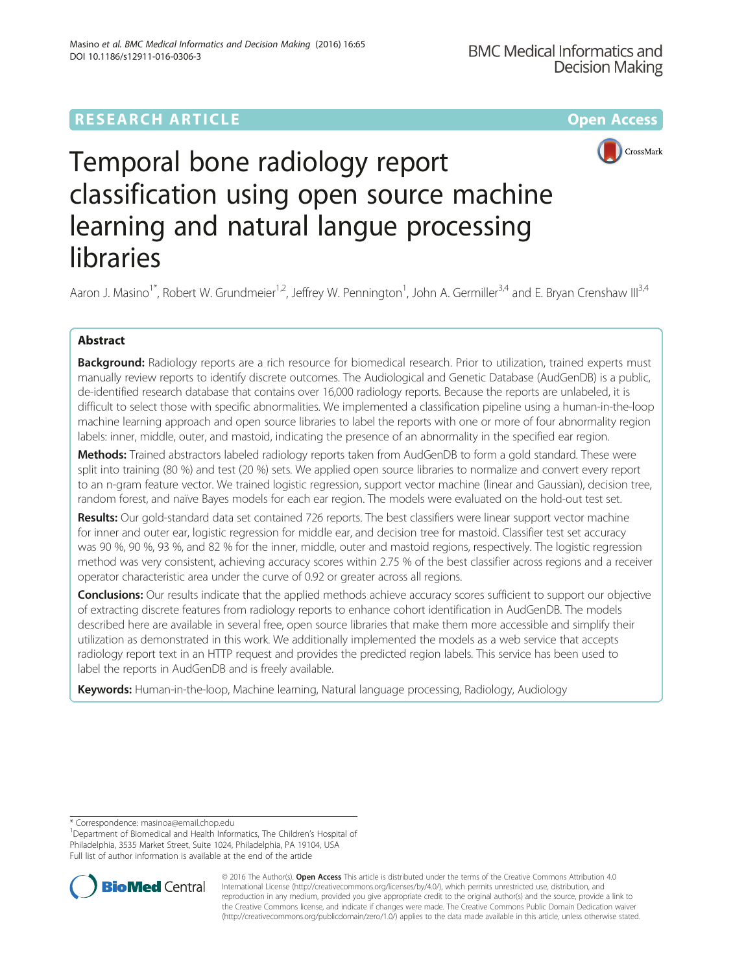# **RESEARCH ARTICLE Example 2014 12:30 The Contract of Contract Article 2014**



# Temporal bone radiology report classification using open source machine learning and natural langue processing libraries

Aaron J. Masino<sup>1\*</sup>, Robert W. Grundmeier<sup>1,2</sup>, Jeffrey W. Pennington<sup>1</sup>, John A. Germiller<sup>3,4</sup> and E. Bryan Crenshaw III<sup>3,4</sup>

# Abstract

Background: Radiology reports are a rich resource for biomedical research. Prior to utilization, trained experts must manually review reports to identify discrete outcomes. The Audiological and Genetic Database (AudGenDB) is a public, de-identified research database that contains over 16,000 radiology reports. Because the reports are unlabeled, it is difficult to select those with specific abnormalities. We implemented a classification pipeline using a human-in-the-loop machine learning approach and open source libraries to label the reports with one or more of four abnormality region labels: inner, middle, outer, and mastoid, indicating the presence of an abnormality in the specified ear region.

Methods: Trained abstractors labeled radiology reports taken from AudGenDB to form a gold standard. These were split into training (80 %) and test (20 %) sets. We applied open source libraries to normalize and convert every report to an n-gram feature vector. We trained logistic regression, support vector machine (linear and Gaussian), decision tree, random forest, and naïve Bayes models for each ear region. The models were evaluated on the hold-out test set.

Results: Our gold-standard data set contained 726 reports. The best classifiers were linear support vector machine for inner and outer ear, logistic regression for middle ear, and decision tree for mastoid. Classifier test set accuracy was 90 %, 90 %, 93 %, and 82 % for the inner, middle, outer and mastoid regions, respectively. The logistic regression method was very consistent, achieving accuracy scores within 2.75 % of the best classifier across regions and a receiver operator characteristic area under the curve of 0.92 or greater across all regions.

**Conclusions:** Our results indicate that the applied methods achieve accuracy scores sufficient to support our objective of extracting discrete features from radiology reports to enhance cohort identification in AudGenDB. The models described here are available in several free, open source libraries that make them more accessible and simplify their utilization as demonstrated in this work. We additionally implemented the models as a web service that accepts radiology report text in an HTTP request and provides the predicted region labels. This service has been used to label the reports in AudGenDB and is freely available.

Keywords: Human-in-the-loop, Machine learning, Natural language processing, Radiology, Audiology

\* Correspondence: [masinoa@email.chop.edu](mailto:masinoa@email.chop.edu) <sup>1</sup>

<sup>&</sup>lt;sup>1</sup>Department of Biomedical and Health Informatics, The Children's Hospital of Philadelphia, 3535 Market Street, Suite 1024, Philadelphia, PA 19104, USA Full list of author information is available at the end of the article



© 2016 The Author(s). Open Access This article is distributed under the terms of the Creative Commons Attribution 4.0 International License [\(http://creativecommons.org/licenses/by/4.0/](http://creativecommons.org/licenses/by/4.0/)), which permits unrestricted use, distribution, and reproduction in any medium, provided you give appropriate credit to the original author(s) and the source, provide a link to the Creative Commons license, and indicate if changes were made. The Creative Commons Public Domain Dedication waiver [\(http://creativecommons.org/publicdomain/zero/1.0/](http://creativecommons.org/publicdomain/zero/1.0/)) applies to the data made available in this article, unless otherwise stated.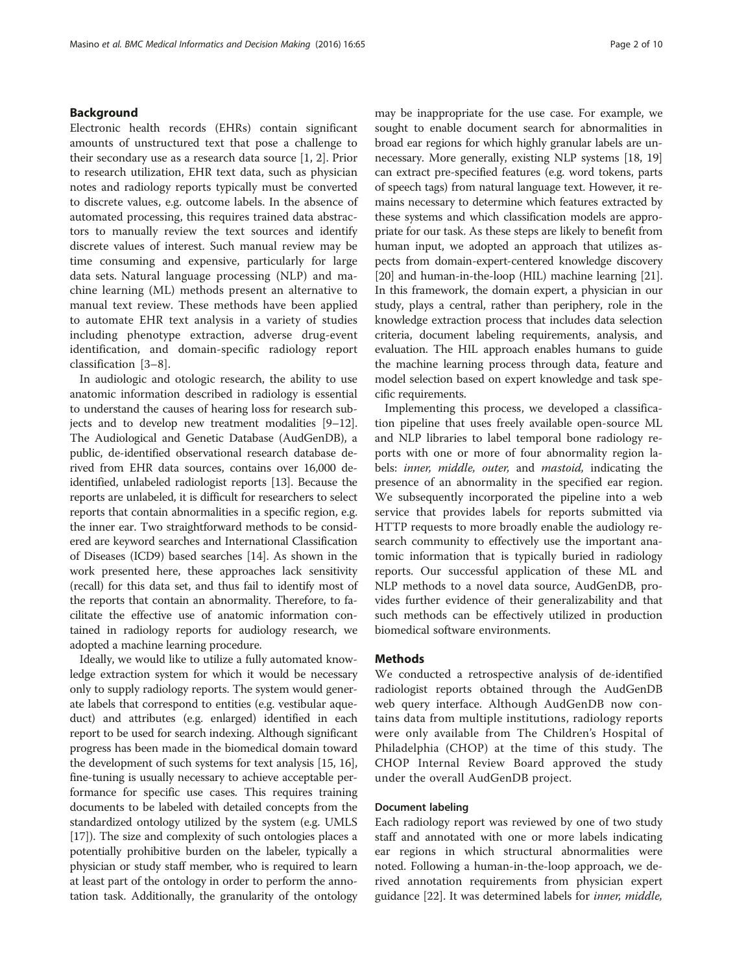# Background

Electronic health records (EHRs) contain significant amounts of unstructured text that pose a challenge to their secondary use as a research data source [[1, 2\]](#page-8-0). Prior to research utilization, EHR text data, such as physician notes and radiology reports typically must be converted to discrete values, e.g. outcome labels. In the absence of automated processing, this requires trained data abstractors to manually review the text sources and identify discrete values of interest. Such manual review may be time consuming and expensive, particularly for large data sets. Natural language processing (NLP) and machine learning (ML) methods present an alternative to manual text review. These methods have been applied to automate EHR text analysis in a variety of studies including phenotype extraction, adverse drug-event identification, and domain-specific radiology report classification [\[3](#page-8-0)–[8](#page-8-0)].

In audiologic and otologic research, the ability to use anatomic information described in radiology is essential to understand the causes of hearing loss for research subjects and to develop new treatment modalities [\[9](#page-8-0)–[12](#page-8-0)]. The Audiological and Genetic Database (AudGenDB), a public, de-identified observational research database derived from EHR data sources, contains over 16,000 deidentified, unlabeled radiologist reports [\[13](#page-8-0)]. Because the reports are unlabeled, it is difficult for researchers to select reports that contain abnormalities in a specific region, e.g. the inner ear. Two straightforward methods to be considered are keyword searches and International Classification of Diseases (ICD9) based searches [[14](#page-8-0)]. As shown in the work presented here, these approaches lack sensitivity (recall) for this data set, and thus fail to identify most of the reports that contain an abnormality. Therefore, to facilitate the effective use of anatomic information contained in radiology reports for audiology research, we adopted a machine learning procedure.

Ideally, we would like to utilize a fully automated knowledge extraction system for which it would be necessary only to supply radiology reports. The system would generate labels that correspond to entities (e.g. vestibular aqueduct) and attributes (e.g. enlarged) identified in each report to be used for search indexing. Although significant progress has been made in the biomedical domain toward the development of such systems for text analysis [\[15, 16](#page-8-0)], fine-tuning is usually necessary to achieve acceptable performance for specific use cases. This requires training documents to be labeled with detailed concepts from the standardized ontology utilized by the system (e.g. UMLS [[17](#page-8-0)]). The size and complexity of such ontologies places a potentially prohibitive burden on the labeler, typically a physician or study staff member, who is required to learn at least part of the ontology in order to perform the annotation task. Additionally, the granularity of the ontology may be inappropriate for the use case. For example, we sought to enable document search for abnormalities in broad ear regions for which highly granular labels are unnecessary. More generally, existing NLP systems [\[18,](#page-8-0) [19](#page-9-0)] can extract pre-specified features (e.g. word tokens, parts of speech tags) from natural language text. However, it remains necessary to determine which features extracted by these systems and which classification models are appropriate for our task. As these steps are likely to benefit from human input, we adopted an approach that utilizes aspects from domain-expert-centered knowledge discovery [[20](#page-9-0)] and human-in-the-loop (HIL) machine learning [[21](#page-9-0)]. In this framework, the domain expert, a physician in our study, plays a central, rather than periphery, role in the knowledge extraction process that includes data selection criteria, document labeling requirements, analysis, and evaluation. The HIL approach enables humans to guide the machine learning process through data, feature and model selection based on expert knowledge and task specific requirements.

Implementing this process, we developed a classification pipeline that uses freely available open-source ML and NLP libraries to label temporal bone radiology reports with one or more of four abnormality region labels: inner, middle, outer, and mastoid, indicating the presence of an abnormality in the specified ear region. We subsequently incorporated the pipeline into a web service that provides labels for reports submitted via HTTP requests to more broadly enable the audiology research community to effectively use the important anatomic information that is typically buried in radiology reports. Our successful application of these ML and NLP methods to a novel data source, AudGenDB, provides further evidence of their generalizability and that such methods can be effectively utilized in production biomedical software environments.

# **Methods**

We conducted a retrospective analysis of de-identified radiologist reports obtained through the AudGenDB web query interface. Although AudGenDB now contains data from multiple institutions, radiology reports were only available from The Children's Hospital of Philadelphia (CHOP) at the time of this study. The CHOP Internal Review Board approved the study under the overall AudGenDB project.

# Document labeling

Each radiology report was reviewed by one of two study staff and annotated with one or more labels indicating ear regions in which structural abnormalities were noted. Following a human-in-the-loop approach, we derived annotation requirements from physician expert guidance [\[22\]](#page-9-0). It was determined labels for *inner*, *middle*,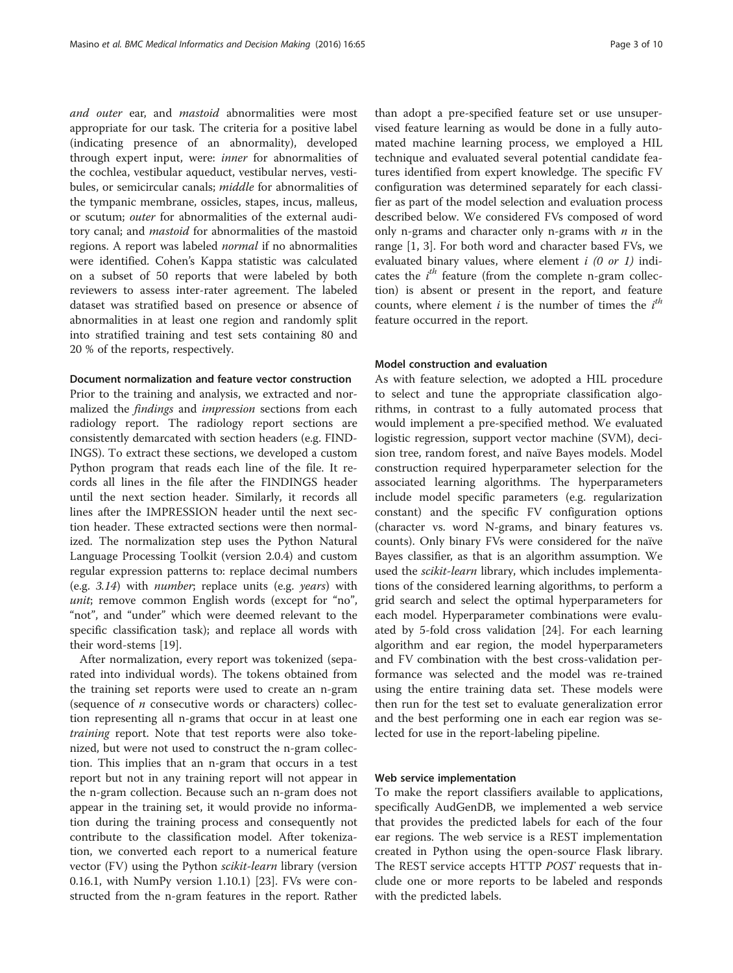and outer ear, and mastoid abnormalities were most appropriate for our task. The criteria for a positive label (indicating presence of an abnormality), developed through expert input, were: inner for abnormalities of the cochlea, vestibular aqueduct, vestibular nerves, vestibules, or semicircular canals; middle for abnormalities of the tympanic membrane, ossicles, stapes, incus, malleus, or scutum; outer for abnormalities of the external auditory canal; and mastoid for abnormalities of the mastoid regions. A report was labeled normal if no abnormalities were identified. Cohen's Kappa statistic was calculated on a subset of 50 reports that were labeled by both reviewers to assess inter-rater agreement. The labeled dataset was stratified based on presence or absence of abnormalities in at least one region and randomly split into stratified training and test sets containing 80 and 20 % of the reports, respectively.

#### Document normalization and feature vector construction

Prior to the training and analysis, we extracted and normalized the findings and impression sections from each radiology report. The radiology report sections are consistently demarcated with section headers (e.g. FIND-INGS). To extract these sections, we developed a custom Python program that reads each line of the file. It records all lines in the file after the FINDINGS header until the next section header. Similarly, it records all lines after the IMPRESSION header until the next section header. These extracted sections were then normalized. The normalization step uses the Python Natural Language Processing Toolkit (version 2.0.4) and custom regular expression patterns to: replace decimal numbers (e.g. 3.14) with number; replace units (e.g. years) with unit; remove common English words (except for "no", "not", and "under" which were deemed relevant to the specific classification task); and replace all words with their word-stems [[19](#page-9-0)].

After normalization, every report was tokenized (separated into individual words). The tokens obtained from the training set reports were used to create an n-gram (sequence of  $n$  consecutive words or characters) collection representing all n-grams that occur in at least one training report. Note that test reports were also tokenized, but were not used to construct the n-gram collection. This implies that an n-gram that occurs in a test report but not in any training report will not appear in the n-gram collection. Because such an n-gram does not appear in the training set, it would provide no information during the training process and consequently not contribute to the classification model. After tokenization, we converted each report to a numerical feature vector (FV) using the Python scikit-learn library (version 0.16.1, with NumPy version 1.10.1) [[23](#page-9-0)]. FVs were constructed from the n-gram features in the report. Rather

than adopt a pre-specified feature set or use unsupervised feature learning as would be done in a fully automated machine learning process, we employed a HIL technique and evaluated several potential candidate features identified from expert knowledge. The specific FV configuration was determined separately for each classifier as part of the model selection and evaluation process described below. We considered FVs composed of word only n-grams and character only n-grams with  $n$  in the range [[1, 3\]](#page-8-0). For both word and character based FVs, we evaluated binary values, where element  $i$  (0 or 1) indicates the  $i<sup>th</sup>$  feature (from the complete n-gram collection) is absent or present in the report, and feature counts, where element  $i$  is the number of times the  $i<sup>th</sup>$ feature occurred in the report.

## Model construction and evaluation

As with feature selection, we adopted a HIL procedure to select and tune the appropriate classification algorithms, in contrast to a fully automated process that would implement a pre-specified method. We evaluated logistic regression, support vector machine (SVM), decision tree, random forest, and naïve Bayes models. Model construction required hyperparameter selection for the associated learning algorithms. The hyperparameters include model specific parameters (e.g. regularization constant) and the specific FV configuration options (character vs. word N-grams, and binary features vs. counts). Only binary FVs were considered for the naïve Bayes classifier, as that is an algorithm assumption. We used the *scikit-learn* library, which includes implementations of the considered learning algorithms, to perform a grid search and select the optimal hyperparameters for each model. Hyperparameter combinations were evaluated by 5-fold cross validation [\[24](#page-9-0)]. For each learning algorithm and ear region, the model hyperparameters and FV combination with the best cross-validation performance was selected and the model was re-trained using the entire training data set. These models were then run for the test set to evaluate generalization error and the best performing one in each ear region was selected for use in the report-labeling pipeline.

# Web service implementation

To make the report classifiers available to applications, specifically AudGenDB, we implemented a web service that provides the predicted labels for each of the four ear regions. The web service is a REST implementation created in Python using the open-source Flask library. The REST service accepts HTTP POST requests that include one or more reports to be labeled and responds with the predicted labels.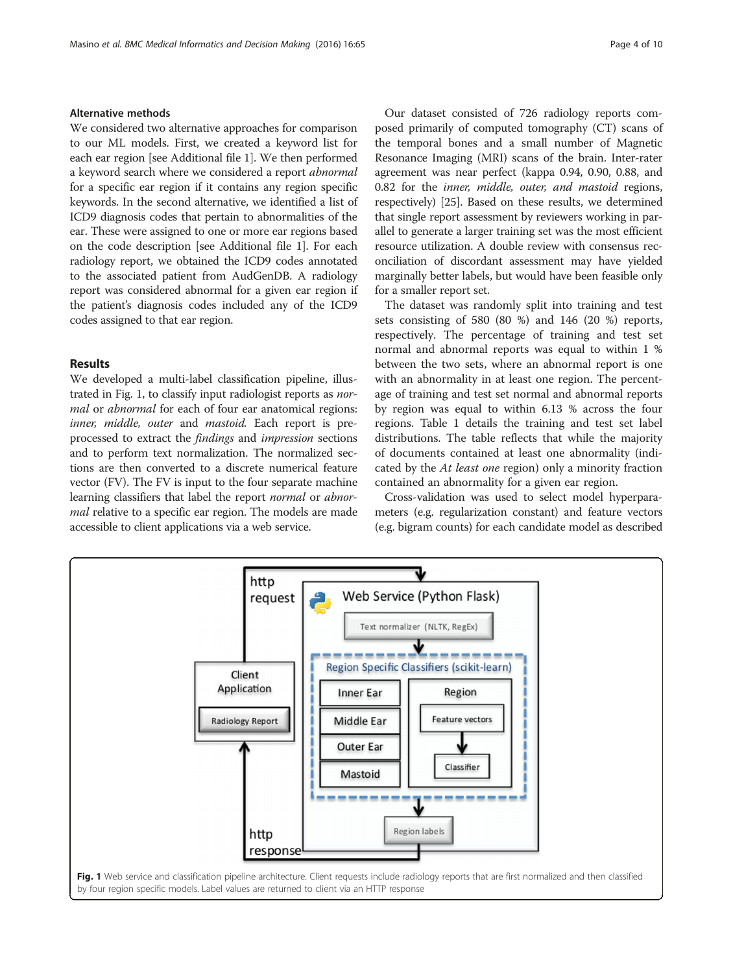# Alternative methods

We considered two alternative approaches for comparison to our ML models. First, we created a keyword list for each ear region [see Additional file [1](#page-8-0)]. We then performed a keyword search where we considered a report abnormal for a specific ear region if it contains any region specific keywords. In the second alternative, we identified a list of ICD9 diagnosis codes that pertain to abnormalities of the ear. These were assigned to one or more ear regions based on the code description [see Additional file [1\]](#page-8-0). For each radiology report, we obtained the ICD9 codes annotated to the associated patient from AudGenDB. A radiology report was considered abnormal for a given ear region if the patient's diagnosis codes included any of the ICD9 codes assigned to that ear region.

## Results

We developed a multi-label classification pipeline, illustrated in Fig. 1, to classify input radiologist reports as normal or abnormal for each of four ear anatomical regions: inner, middle, outer and mastoid. Each report is preprocessed to extract the findings and impression sections and to perform text normalization. The normalized sections are then converted to a discrete numerical feature vector (FV). The FV is input to the four separate machine learning classifiers that label the report normal or abnormal relative to a specific ear region. The models are made accessible to client applications via a web service.

Our dataset consisted of 726 radiology reports composed primarily of computed tomography (CT) scans of the temporal bones and a small number of Magnetic Resonance Imaging (MRI) scans of the brain. Inter-rater agreement was near perfect (kappa 0.94, 0.90, 0.88, and 0.82 for the inner, middle, outer, and mastoid regions, respectively) [\[25\]](#page-9-0). Based on these results, we determined that single report assessment by reviewers working in parallel to generate a larger training set was the most efficient resource utilization. A double review with consensus reconciliation of discordant assessment may have yielded marginally better labels, but would have been feasible only for a smaller report set.

The dataset was randomly split into training and test sets consisting of 580 (80 %) and 146 (20 %) reports, respectively. The percentage of training and test set normal and abnormal reports was equal to within 1 % between the two sets, where an abnormal report is one with an abnormality in at least one region. The percentage of training and test set normal and abnormal reports by region was equal to within 6.13 % across the four regions. Table [1](#page-4-0) details the training and test set label distributions. The table reflects that while the majority of documents contained at least one abnormality (indicated by the At least one region) only a minority fraction contained an abnormality for a given ear region.

Cross-validation was used to select model hyperparameters (e.g. regularization constant) and feature vectors (e.g. bigram counts) for each candidate model as described

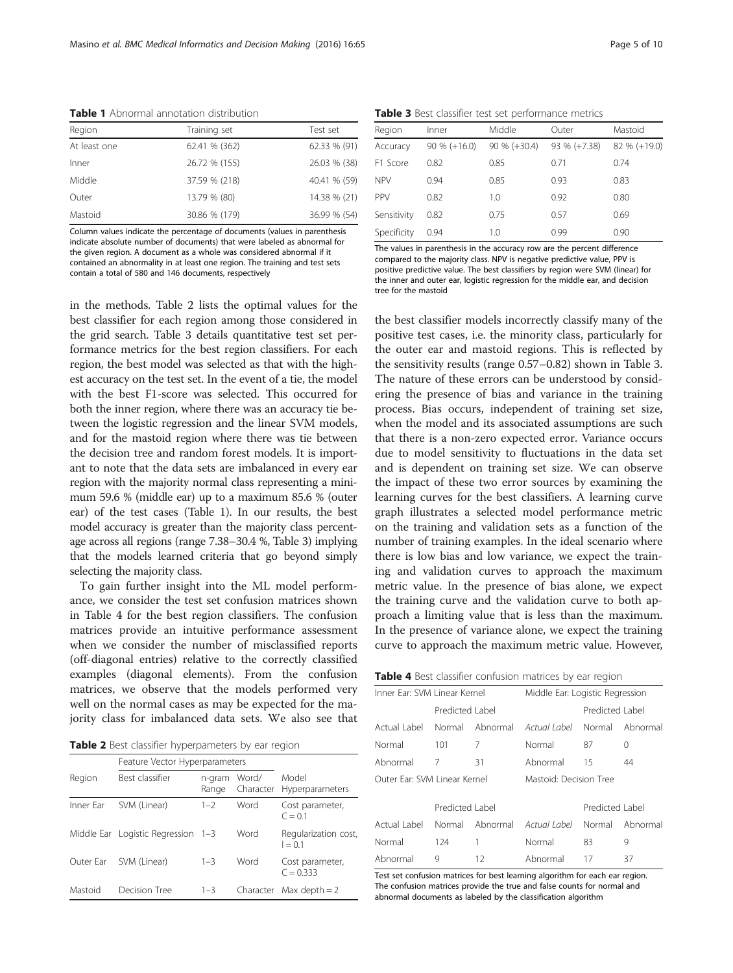| Region                                                                    | Training set  | Test set     |  |  |  |  |
|---------------------------------------------------------------------------|---------------|--------------|--|--|--|--|
| At least one                                                              | 62.41 % (362) | 62.33 % (91) |  |  |  |  |
| Inner                                                                     | 26.72 % (155) | 26.03 % (38) |  |  |  |  |
| Middle                                                                    | 37.59 % (218) | 40.41 % (59) |  |  |  |  |
| Outer                                                                     | 13.79 % (80)  | 14.38 % (21) |  |  |  |  |
| Mastoid                                                                   | 30.86 % (179) | 36.99 % (54) |  |  |  |  |
| Column values indicate the nercentage of documents (values in parenthesis |               |              |  |  |  |  |

<span id="page-4-0"></span>Table 1 Abnormal annotation distribution

Column values indicate the percentage of documents (values in parenthesis indicate absolute number of documents) that were labeled as abnormal for the given region. A document as a whole was considered abnormal if it contained an abnormality in at least one region. The training and test sets contain a total of 580 and 146 documents, respectively

in the methods. Table 2 lists the optimal values for the best classifier for each region among those considered in the grid search. Table 3 details quantitative test set performance metrics for the best region classifiers. For each region, the best model was selected as that with the highest accuracy on the test set. In the event of a tie, the model with the best F1-score was selected. This occurred for both the inner region, where there was an accuracy tie between the logistic regression and the linear SVM models, and for the mastoid region where there was tie between the decision tree and random forest models. It is important to note that the data sets are imbalanced in every ear region with the majority normal class representing a minimum 59.6 % (middle ear) up to a maximum 85.6 % (outer ear) of the test cases (Table 1). In our results, the best model accuracy is greater than the majority class percentage across all regions (range 7.38–30.4 %, Table 3) implying that the models learned criteria that go beyond simply selecting the majority class.

To gain further insight into the ML model performance, we consider the test set confusion matrices shown in Table 4 for the best region classifiers. The confusion matrices provide an intuitive performance assessment when we consider the number of misclassified reports (off-diagonal entries) relative to the correctly classified examples (diagonal elements). From the confusion matrices, we observe that the models performed very well on the normal cases as may be expected for the majority class for imbalanced data sets. We also see that

Table 2 Best classifier hyperpameters by ear region

|           | Feature Vector Hyperparameters     |                 |                    |                                   |
|-----------|------------------------------------|-----------------|--------------------|-----------------------------------|
| Region    | Best classifier                    | n-gram<br>Range | Word/<br>Character | Model<br>Hyperparameters          |
| Inner Ear | SVM (Linear)                       | $1 - 2$         | Word               | Cost parameter,<br>$C = 0.1$      |
|           | Middle Ear Logistic Regression 1-3 |                 | Word               | Regularization cost,<br>$I = 0.1$ |
| Outer Ear | SVM (Linear)                       | $1 - 3$         | Word               | Cost parameter,<br>$C = 0.333$    |
| Mastoid   | Decision Tree                      | $1 - 3$         |                    | Character Max depth = $2$         |

Table 3 Best classifier test set performance metrics

| Region      | Inner          | Middle         | Outer        | Mastoid      |
|-------------|----------------|----------------|--------------|--------------|
| Accuracy    | $90\% (+16.0)$ | $90\% (+30.4)$ | 93 % (+7.38) | 82 % (+19.0) |
| F1 Score    | 0.82           | 0.85           | 0.71         | 0.74         |
| <b>NPV</b>  | 0.94           | 0.85           | 0.93         | 0.83         |
| PPV         | 0.82           | 1.0            | 0.92         | 0.80         |
| Sensitivity | 0.82           | 0.75           | 0.57         | 0.69         |
| Specificity | 0.94           | 1.0            | 0.99         | 0.90         |
|             |                |                |              |              |

The values in parenthesis in the accuracy row are the percent difference compared to the majority class. NPV is negative predictive value, PPV is positive predictive value. The best classifiers by region were SVM (linear) for the inner and outer ear, logistic regression for the middle ear, and decision tree for the mastoid

the best classifier models incorrectly classify many of the positive test cases, i.e. the minority class, particularly for the outer ear and mastoid regions. This is reflected by the sensitivity results (range 0.57–0.82) shown in Table 3. The nature of these errors can be understood by considering the presence of bias and variance in the training process. Bias occurs, independent of training set size, when the model and its associated assumptions are such that there is a non-zero expected error. Variance occurs due to model sensitivity to fluctuations in the data set and is dependent on training set size. We can observe the impact of these two error sources by examining the learning curves for the best classifiers. A learning curve graph illustrates a selected model performance metric on the training and validation sets as a function of the number of training examples. In the ideal scenario where there is low bias and low variance, we expect the training and validation curves to approach the maximum metric value. In the presence of bias alone, we expect the training curve and the validation curve to both approach a limiting value that is less than the maximum. In the presence of variance alone, we expect the training curve to approach the maximum metric value. However,

|  | <b>Table 4</b> Best classifier confusion matrices by ear region |  |  |  |  |  |
|--|-----------------------------------------------------------------|--|--|--|--|--|
|--|-----------------------------------------------------------------|--|--|--|--|--|

| Inner Far: SVM Linear Kernel |                 |                        | Middle Ear: Logistic Regression |                 |                  |  |
|------------------------------|-----------------|------------------------|---------------------------------|-----------------|------------------|--|
|                              | Predicted Label |                        |                                 | Predicted Label |                  |  |
| Actual Label                 |                 | Normal Abnormal        | Actual Label Normal Abnormal    |                 |                  |  |
| Normal                       | 101             | 7                      | Normal                          | 87              | $\left( \right)$ |  |
| Abnormal                     | 7               | 31                     | Abnormal                        | 15<br>44        |                  |  |
| Outer Far: SVM Linear Kernel |                 | Mastoid: Decision Tree |                                 |                 |                  |  |
|                              | Predicted Label |                        |                                 | Predicted Label |                  |  |
| Actual Label                 |                 | Normal Abnormal        | Actual Label                    |                 | Normal Abnormal  |  |
| Normal                       | 124             | 1                      | Normal                          | 83              | 9                |  |
| Abnormal                     | 9               | 12                     | Abnormal                        | 17              | 37               |  |

Test set confusion matrices for best learning algorithm for each ear region. The confusion matrices provide the true and false counts for normal and abnormal documents as labeled by the classification algorithm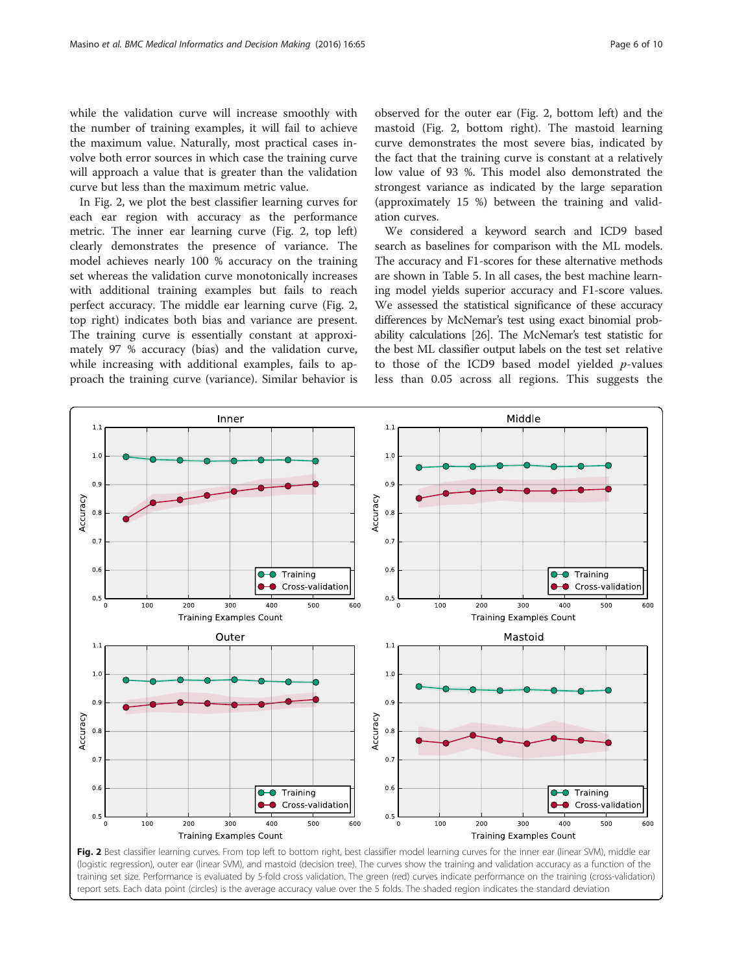<span id="page-5-0"></span>while the validation curve will increase smoothly with the number of training examples, it will fail to achieve the maximum value. Naturally, most practical cases involve both error sources in which case the training curve will approach a value that is greater than the validation curve but less than the maximum metric value.

In Fig. 2, we plot the best classifier learning curves for each ear region with accuracy as the performance metric. The inner ear learning curve (Fig. 2, top left) clearly demonstrates the presence of variance. The model achieves nearly 100 % accuracy on the training set whereas the validation curve monotonically increases with additional training examples but fails to reach perfect accuracy. The middle ear learning curve (Fig. 2, top right) indicates both bias and variance are present. The training curve is essentially constant at approximately 97 % accuracy (bias) and the validation curve, while increasing with additional examples, fails to approach the training curve (variance). Similar behavior is

observed for the outer ear (Fig. 2, bottom left) and the mastoid (Fig. 2, bottom right). The mastoid learning curve demonstrates the most severe bias, indicated by the fact that the training curve is constant at a relatively low value of 93 %. This model also demonstrated the strongest variance as indicated by the large separation (approximately 15 %) between the training and validation curves.

We considered a keyword search and ICD9 based search as baselines for comparison with the ML models. The accuracy and F1-scores for these alternative methods are shown in Table [5](#page-6-0). In all cases, the best machine learning model yields superior accuracy and F1-score values. We assessed the statistical significance of these accuracy differences by McNemar's test using exact binomial probability calculations [\[26](#page-9-0)]. The McNemar's test statistic for the best ML classifier output labels on the test set relative to those of the ICD9 based model yielded  $p$ -values less than 0.05 across all regions. This suggests the



(logistic regression), outer ear (linear SVM), and mastoid (decision tree). The curves show the training and validation accuracy as a function of the training set size. Performance is evaluated by 5-fold cross validation. The green (red) curves indicate performance on the training (cross-validation) report sets. Each data point (circles) is the average accuracy value over the 5 folds. The shaded region indicates the standard deviation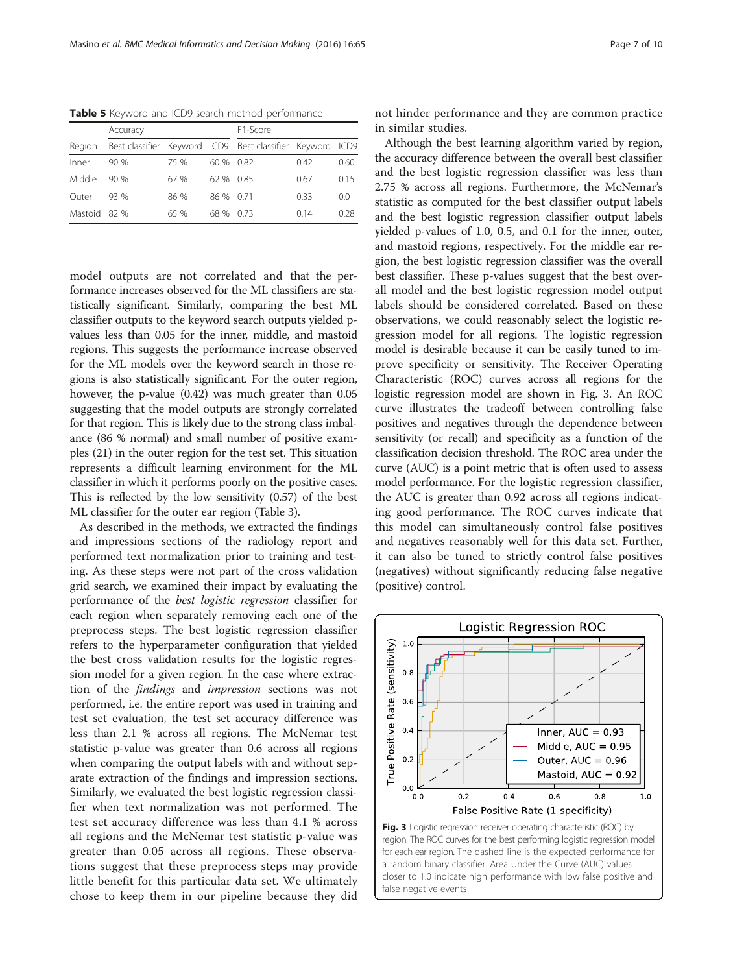<span id="page-6-0"></span>Table 5 Keyword and ICD9 search method performance

|              | Accuracy |      |           | F1-Score                                                  |      |      |
|--------------|----------|------|-----------|-----------------------------------------------------------|------|------|
| Region       |          |      |           | Best classifier Keyword ICD9 Best classifier Keyword ICD9 |      |      |
| Inner        | 90%      | 75 % | 60 % 0.82 |                                                           | 0.42 | 0.60 |
| Middle       | 90%      | 67%  | 62 % 0.85 |                                                           | 0.67 | 0.15 |
| Outer        | 93%      | 86 % | 86 % 0.71 |                                                           | 0.33 | 0.0  |
| Mastoid 82 % |          | 65%  | 68 %      | 0.73                                                      | 014  | 0.28 |

model outputs are not correlated and that the performance increases observed for the ML classifiers are statistically significant. Similarly, comparing the best ML classifier outputs to the keyword search outputs yielded pvalues less than 0.05 for the inner, middle, and mastoid regions. This suggests the performance increase observed for the ML models over the keyword search in those regions is also statistically significant. For the outer region, however, the p-value (0.42) was much greater than 0.05 suggesting that the model outputs are strongly correlated for that region. This is likely due to the strong class imbalance (86 % normal) and small number of positive examples (21) in the outer region for the test set. This situation represents a difficult learning environment for the ML classifier in which it performs poorly on the positive cases. This is reflected by the low sensitivity (0.57) of the best ML classifier for the outer ear region (Table [3\)](#page-4-0).

As described in the methods, we extracted the findings and impressions sections of the radiology report and performed text normalization prior to training and testing. As these steps were not part of the cross validation grid search, we examined their impact by evaluating the performance of the best logistic regression classifier for each region when separately removing each one of the preprocess steps. The best logistic regression classifier refers to the hyperparameter configuration that yielded the best cross validation results for the logistic regression model for a given region. In the case where extraction of the findings and impression sections was not performed, i.e. the entire report was used in training and test set evaluation, the test set accuracy difference was less than 2.1 % across all regions. The McNemar test statistic p-value was greater than 0.6 across all regions when comparing the output labels with and without separate extraction of the findings and impression sections. Similarly, we evaluated the best logistic regression classifier when text normalization was not performed. The test set accuracy difference was less than 4.1 % across all regions and the McNemar test statistic p-value was greater than 0.05 across all regions. These observations suggest that these preprocess steps may provide little benefit for this particular data set. We ultimately chose to keep them in our pipeline because they did

not hinder performance and they are common practice in similar studies.

Although the best learning algorithm varied by region, the accuracy difference between the overall best classifier and the best logistic regression classifier was less than 2.75 % across all regions. Furthermore, the McNemar's statistic as computed for the best classifier output labels and the best logistic regression classifier output labels yielded p-values of 1.0, 0.5, and 0.1 for the inner, outer, and mastoid regions, respectively. For the middle ear region, the best logistic regression classifier was the overall best classifier. These p-values suggest that the best overall model and the best logistic regression model output labels should be considered correlated. Based on these observations, we could reasonably select the logistic regression model for all regions. The logistic regression model is desirable because it can be easily tuned to improve specificity or sensitivity. The Receiver Operating Characteristic (ROC) curves across all regions for the logistic regression model are shown in Fig. 3. An ROC curve illustrates the tradeoff between controlling false positives and negatives through the dependence between sensitivity (or recall) and specificity as a function of the classification decision threshold. The ROC area under the curve (AUC) is a point metric that is often used to assess model performance. For the logistic regression classifier, the AUC is greater than 0.92 across all regions indicating good performance. The ROC curves indicate that this model can simultaneously control false positives and negatives reasonably well for this data set. Further, it can also be tuned to strictly control false positives (negatives) without significantly reducing false negative (positive) control.



Fig. 3 Logistic regression receiver operating characteristic (ROC) by region. The ROC curves for the best performing logistic regression model for each ear region. The dashed line is the expected performance for a random binary classifier. Area Under the Curve (AUC) values closer to 1.0 indicate high performance with low false positive and false negative events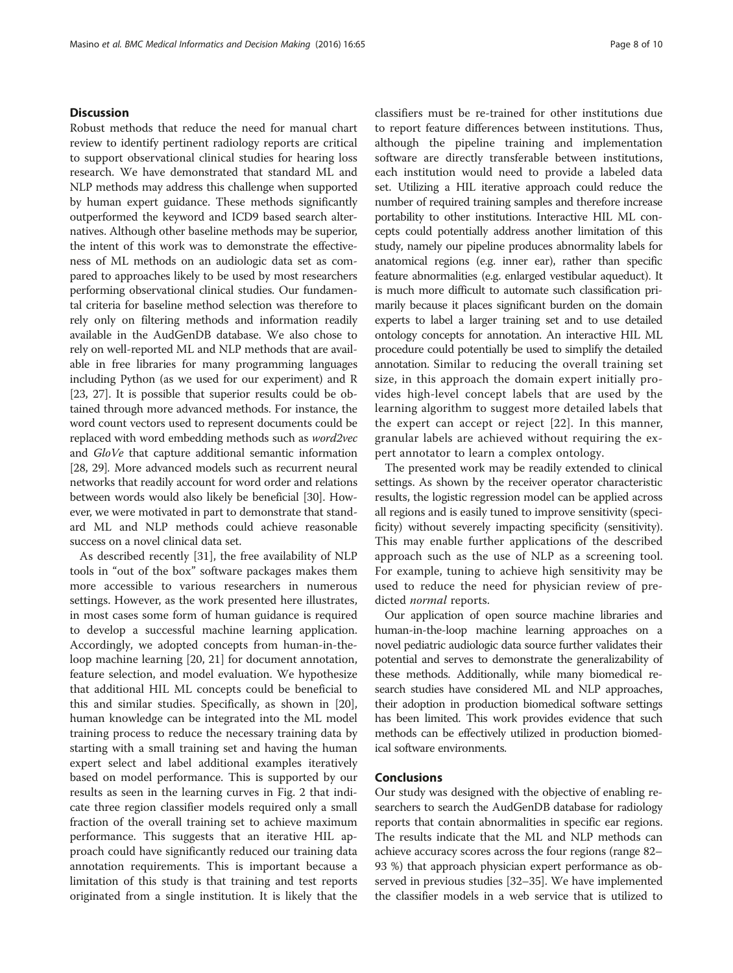# **Discussion**

Robust methods that reduce the need for manual chart review to identify pertinent radiology reports are critical to support observational clinical studies for hearing loss research. We have demonstrated that standard ML and NLP methods may address this challenge when supported by human expert guidance. These methods significantly outperformed the keyword and ICD9 based search alternatives. Although other baseline methods may be superior, the intent of this work was to demonstrate the effectiveness of ML methods on an audiologic data set as compared to approaches likely to be used by most researchers performing observational clinical studies. Our fundamental criteria for baseline method selection was therefore to rely only on filtering methods and information readily available in the AudGenDB database. We also chose to rely on well-reported ML and NLP methods that are available in free libraries for many programming languages including Python (as we used for our experiment) and R [[23](#page-9-0), [27](#page-9-0)]. It is possible that superior results could be obtained through more advanced methods. For instance, the word count vectors used to represent documents could be replaced with word embedding methods such as word2vec and GloVe that capture additional semantic information [[28](#page-9-0), [29](#page-9-0)]. More advanced models such as recurrent neural networks that readily account for word order and relations between words would also likely be beneficial [\[30](#page-9-0)]. However, we were motivated in part to demonstrate that standard ML and NLP methods could achieve reasonable success on a novel clinical data set.

As described recently [\[31](#page-9-0)], the free availability of NLP tools in "out of the box" software packages makes them more accessible to various researchers in numerous settings. However, as the work presented here illustrates, in most cases some form of human guidance is required to develop a successful machine learning application. Accordingly, we adopted concepts from human-in-theloop machine learning [[20](#page-9-0), [21](#page-9-0)] for document annotation, feature selection, and model evaluation. We hypothesize that additional HIL ML concepts could be beneficial to this and similar studies. Specifically, as shown in [\[20](#page-9-0)], human knowledge can be integrated into the ML model training process to reduce the necessary training data by starting with a small training set and having the human expert select and label additional examples iteratively based on model performance. This is supported by our results as seen in the learning curves in Fig. [2](#page-5-0) that indicate three region classifier models required only a small fraction of the overall training set to achieve maximum performance. This suggests that an iterative HIL approach could have significantly reduced our training data annotation requirements. This is important because a limitation of this study is that training and test reports originated from a single institution. It is likely that the classifiers must be re-trained for other institutions due to report feature differences between institutions. Thus, although the pipeline training and implementation software are directly transferable between institutions, each institution would need to provide a labeled data set. Utilizing a HIL iterative approach could reduce the number of required training samples and therefore increase portability to other institutions. Interactive HIL ML concepts could potentially address another limitation of this study, namely our pipeline produces abnormality labels for anatomical regions (e.g. inner ear), rather than specific feature abnormalities (e.g. enlarged vestibular aqueduct). It is much more difficult to automate such classification primarily because it places significant burden on the domain experts to label a larger training set and to use detailed ontology concepts for annotation. An interactive HIL ML procedure could potentially be used to simplify the detailed annotation. Similar to reducing the overall training set size, in this approach the domain expert initially provides high-level concept labels that are used by the learning algorithm to suggest more detailed labels that the expert can accept or reject [\[22\]](#page-9-0). In this manner, granular labels are achieved without requiring the expert annotator to learn a complex ontology.

The presented work may be readily extended to clinical settings. As shown by the receiver operator characteristic results, the logistic regression model can be applied across all regions and is easily tuned to improve sensitivity (specificity) without severely impacting specificity (sensitivity). This may enable further applications of the described approach such as the use of NLP as a screening tool. For example, tuning to achieve high sensitivity may be used to reduce the need for physician review of predicted normal reports.

Our application of open source machine libraries and human-in-the-loop machine learning approaches on a novel pediatric audiologic data source further validates their potential and serves to demonstrate the generalizability of these methods. Additionally, while many biomedical research studies have considered ML and NLP approaches, their adoption in production biomedical software settings has been limited. This work provides evidence that such methods can be effectively utilized in production biomedical software environments.

# **Conclusions**

Our study was designed with the objective of enabling researchers to search the AudGenDB database for radiology reports that contain abnormalities in specific ear regions. The results indicate that the ML and NLP methods can achieve accuracy scores across the four regions (range 82– 93 %) that approach physician expert performance as observed in previous studies [[32](#page-9-0)–[35\]](#page-9-0). We have implemented the classifier models in a web service that is utilized to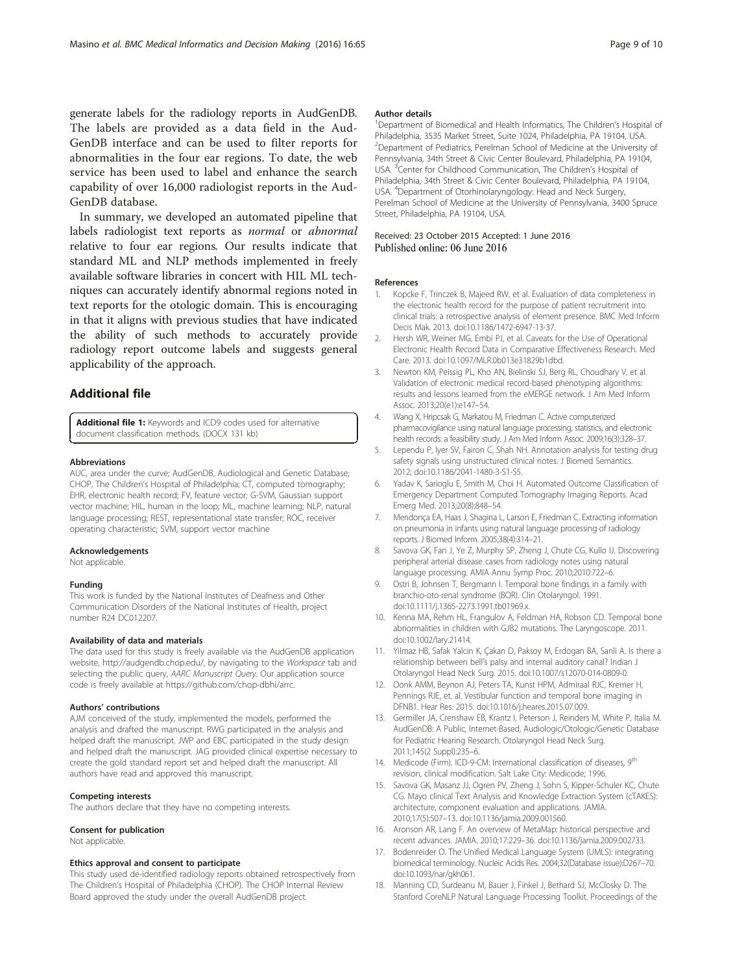<span id="page-8-0"></span>generate labels for the radiology reports in AudGenDB. The labels are provided as a data field in the Aud-GenDB interface and can be used to filter reports for abnormalities in the four ear regions. To date, the web service has been used to label and enhance the search capability of over 16,000 radiologist reports in the Aud-GenDB database.

In summary, we developed an automated pipeline that labels radiologist text reports as normal or abnormal relative to four ear regions. Our results indicate that standard ML and NLP methods implemented in freely available software libraries in concert with HIL ML techniques can accurately identify abnormal regions noted in text reports for the otologic domain. This is encouraging in that it aligns with previous studies that have indicated the ability of such methods to accurately provide radiology report outcome labels and suggests general applicability of the approach.

# Additional file

[Additional file 1:](dx.doi.org/10.1186/s12911-016-0306-3) Keywords and ICD9 codes used for alternative document classification methods. (DOCX 131 kb)

#### Abbreviations

AUC, area under the curve; AudGenDB, Audiological and Genetic Database; CHOP, The Children's Hospital of Philadelphia; CT, computed tomography; EHR, electronic health record; FV, feature vector; G-SVM, Gaussian support vector machine; HIL, human in the loop; ML, machine learning; NLP, natural language processing; REST, representational state transfer; ROC, receiver operating characteristic; SVM, support vector machine

#### Acknowledgements

Not applicable.

#### Funding

This work is funded by the National Institutes of Deafness and Other Communication Disorders of the National Institutes of Health, project number R24 DC012207.

#### Availability of data and materials

The data used for this study is freely available via the AudGenDB application website, [http://audgendb.chop.edu/,](http://audgendb.chop.edu/) by navigating to the Workspace tab and selecting the public query, AARC Manuscript Query. Our application source code is freely available at<https://github.com/chop-dbhi/arrc>.

#### Authors' contributions

AJM conceived of the study, implemented the models, performed the analysis and drafted the manuscript. RWG participated in the analysis and helped draft the manuscript. JWP and EBC participated in the study design and helped draft the manuscript. JAG provided clinical expertise necessary to create the gold standard report set and helped draft the manuscript. All authors have read and approved this manuscript.

#### Competing interests

The authors declare that they have no competing interests.

#### Consent for publication

Not applicable.

#### Ethics approval and consent to participate

This study used de-identified radiology reports obtained retrospectively from The Children's Hospital of Philadelphia (CHOP). The CHOP Internal Review Board approved the study under the overall AudGenDB project.

#### Author details

<sup>1</sup>Department of Biomedical and Health Informatics, The Children's Hospital of Philadelphia, 3535 Market Street, Suite 1024, Philadelphia, PA 19104, USA. <sup>2</sup>Department of Pediatrics, Perelman School of Medicine at the University of Pennsylvania, 34th Street & Civic Center Boulevard, Philadelphia, PA 19104, USA.<sup>3</sup> Center for Childhood Communication, The Children's Hospital of Philadelphia, 34th Street & Civic Center Boulevard, Philadelphia, PA 19104, USA. <sup>4</sup> Department of Otorhinolaryngology: Head and Neck Surgery, Perelman School of Medicine at the University of Pennsylvania, 3400 Spruce Street, Philadelphia, PA 19104, USA.

# Received: 23 October 2015 Accepted: 1 June 2016

#### References

- 1. Kopcke F, Trinczek B, Majeed RW, et al. Evaluation of data completeness in the electronic health record for the purpose of patient recruitment into clinical trials: a retrospective analysis of element presence. BMC Med Inform Decis Mak. 2013. doi[:10.1186/1472-6947-13-37.](http://dx.doi.org/10.1186/1472-6947-13-37)
- 2. Hersh WR, Weiner MG, Embi PJ, et al. Caveats for the Use of Operational Electronic Health Record Data in Comparative Effectiveness Research. Med Care. 2013. doi:[10.1097/MLR.0b013e31829b1dbd](http://dx.doi.org/10.1097/MLR.0b013e31829b1dbd).
- 3. Newton KM, Peissig PL, Kho AN, Bielinski SJ, Berg RL, Choudhary V, et al. Validation of electronic medical record-based phenotyping algorithms: results and lessons learned from the eMERGE network. J Am Med Inform Assoc. 2013;20(e1):e147–54.
- 4. Wang X, Hripcsak G, Markatou M, Friedman C. Active computerized pharmacovigilance using natural language processing, statistics, and electronic health records: a feasibility study. J Am Med Inform Assoc. 2009;16(3):328–37.
- 5. Lependu P, Iyer SV, Fairon C, Shah NH. Annotation analysis for testing drug safety signals using unstructured clinical notes. J Biomed Semantics. 2012; doi[:10.1186/2041-1480-3-S1-S5](http://dx.doi.org/10.1186/2041-1480-3-S1-S5).
- 6. Yadav K, Sarioglu E, Smith M, Choi H. Automated Outcome Classification of Emergency Department Computed Tomography Imaging Reports. Acad Emerg Med. 2013;20(8):848–54.
- 7. Mendonça EA, Haas J, Shagina L, Larson E, Friedman C. Extracting information on pneumonia in infants using natural language processing of radiology reports. J Biomed Inform. 2005;38(4):314–21.
- 8. Savova GK, Fan J, Ye Z, Murphy SP, Zheng J, Chute CG, Kullo IJ. Discovering peripheral arterial disease cases from radiology notes using natural language processing. AMIA Annu Symp Proc. 2010;2010:722–6.
- 9. Ostri B, Johnsen T, Bergmann I. Temporal bone findings in a family with branchio-oto-renal syndrome (BOR). Clin Otolaryngol. 1991. doi[:10.1111/j.1365-2273.1991.tb01969.x.](http://dx.doi.org/10.1111/j.1365-2273.1991.tb01969.x)
- 10. Kenna MA, Rehm HL, Frangulov A, Feldman HA, Robson CD. Temporal bone abnormalities in children with GJB2 mutations. The Laryngoscope. 2011. doi[:10.1002/lary.21414](http://dx.doi.org/10.1002/lary.21414).
- 11. Yilmaz HB, Safak Yalcin K, Çakan D, Paksoy M, Erdogan BA, Sanli A. Is there a relationship between bell's palsy and internal auditory canal? Indian J Otolaryngol Head Neck Surg. 2015. doi[:10.1007/s12070-014-0809-0](http://dx.doi.org/10.1007/s12070-014-0809-0).
- 12. Oonk AMM, Beynon AJ, Peters TA, Kunst HPM, Admiraal RJC, Kremer H, Pennings RJE, et. al. Vestibular function and temporal bone imaging in DFNB1. Hear Res. 2015. doi:[10.1016/j.heares.2015.07.009](http://dx.doi.org/10.1016/j.heares.2015.07.009).
- 13. Germiller JA, Crenshaw EB, Krantz I, Peterson J, Reinders M, White P, Italia M. AudGenDB: A Public, Internet-Based, Audiologic/Otologic/Genetic Database for Pediatric Hearing Research. Otolaryngol Head Neck Surg. 2011;145(2 Suppl):235–6.
- 14. Medicode (Firm). ICD-9-CM: International classification of diseases, 9<sup>th</sup> revision, clinical modification. Salt Lake City: Medicode; 1996.
- 15. Savova GK, Masanz JJ, Ogren PV, Zheng J, Sohn S, Kipper-Schuler KC, Chute CG. Mayo clinical Text Analysis and Knowledge Extraction System (cTAKES): architecture, component evaluation and applications. JAMIA. 2010;17(5):507–13. doi:[10.1136/jamia.2009.001560.](http://dx.doi.org/10.1136/jamia.2009.001560)
- 16. Aronson AR, Lang F. An overview of MetaMap: historical perspective and recent advances. JAMIA. 2010;17:229–36. doi:[10.1136/jamia.2009.002733](http://dx.doi.org/10.1136/jamia.2009.002733).
- 17. Bodenreider O. The Unified Medical Language System (UMLS): integrating biomedical terminology. Nucleic Acids Res. 2004;32(Database issue):D267–70. doi:[10.1093/nar/gkh061](http://dx.doi.org/10.1093/nar/gkh061).
- 18. Manning CD, Surdeanu M, Bauer J, Finkel J, Bethard SJ, McClosky D. The Stanford CoreNLP Natural Language Processing Toolkit. Proceedings of the